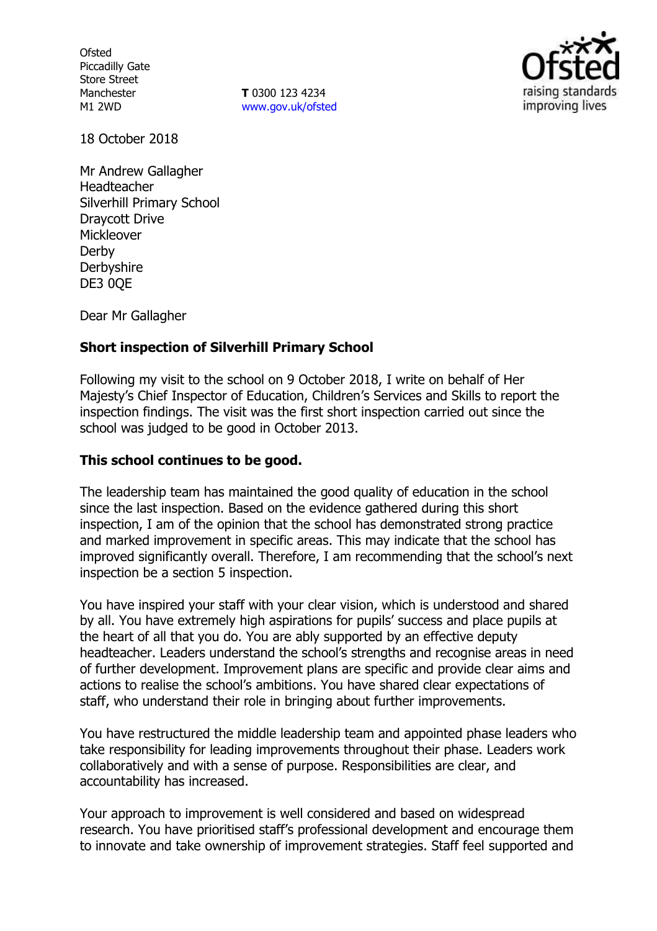**Ofsted** Piccadilly Gate Store Street Manchester M1 2WD

**T** 0300 123 4234 www.gov.uk/ofsted



18 October 2018

Mr Andrew Gallagher Headteacher Silverhill Primary School Draycott Drive Mickleover Derby **Derbyshire** DE3 0OE

Dear Mr Gallagher

# **Short inspection of Silverhill Primary School**

Following my visit to the school on 9 October 2018, I write on behalf of Her Majesty's Chief Inspector of Education, Children's Services and Skills to report the inspection findings. The visit was the first short inspection carried out since the school was judged to be good in October 2013.

# **This school continues to be good.**

The leadership team has maintained the good quality of education in the school since the last inspection. Based on the evidence gathered during this short inspection, I am of the opinion that the school has demonstrated strong practice and marked improvement in specific areas. This may indicate that the school has improved significantly overall. Therefore, I am recommending that the school's next inspection be a section 5 inspection.

You have inspired your staff with your clear vision, which is understood and shared by all. You have extremely high aspirations for pupils' success and place pupils at the heart of all that you do. You are ably supported by an effective deputy headteacher. Leaders understand the school's strengths and recognise areas in need of further development. Improvement plans are specific and provide clear aims and actions to realise the school's ambitions. You have shared clear expectations of staff, who understand their role in bringing about further improvements.

You have restructured the middle leadership team and appointed phase leaders who take responsibility for leading improvements throughout their phase. Leaders work collaboratively and with a sense of purpose. Responsibilities are clear, and accountability has increased.

Your approach to improvement is well considered and based on widespread research. You have prioritised staff's professional development and encourage them to innovate and take ownership of improvement strategies. Staff feel supported and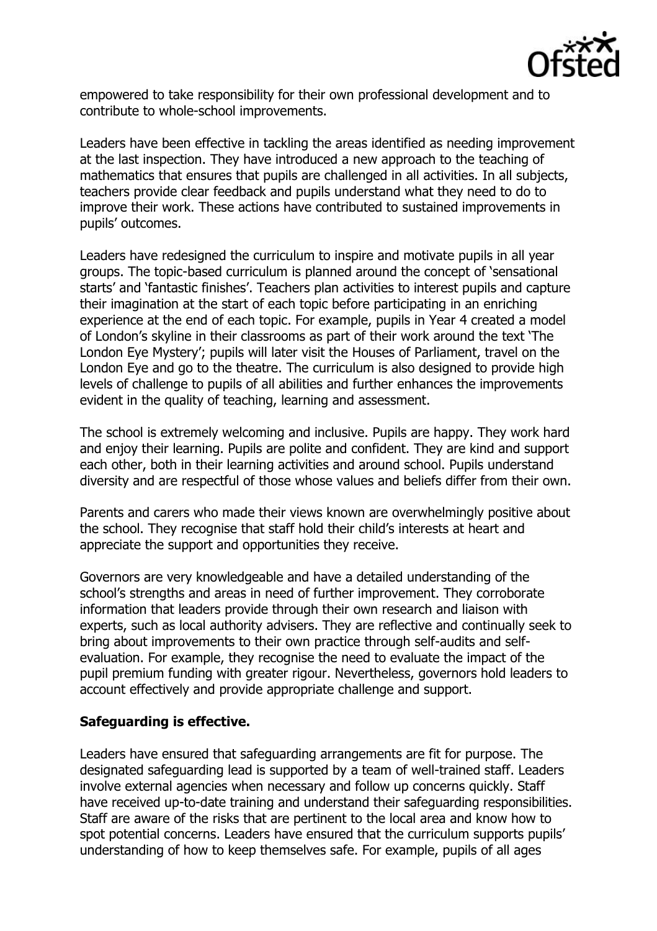

empowered to take responsibility for their own professional development and to contribute to whole-school improvements.

Leaders have been effective in tackling the areas identified as needing improvement at the last inspection. They have introduced a new approach to the teaching of mathematics that ensures that pupils are challenged in all activities. In all subjects, teachers provide clear feedback and pupils understand what they need to do to improve their work. These actions have contributed to sustained improvements in pupils' outcomes.

Leaders have redesigned the curriculum to inspire and motivate pupils in all year groups. The topic-based curriculum is planned around the concept of 'sensational starts' and 'fantastic finishes'. Teachers plan activities to interest pupils and capture their imagination at the start of each topic before participating in an enriching experience at the end of each topic. For example, pupils in Year 4 created a model of London's skyline in their classrooms as part of their work around the text 'The London Eye Mystery'; pupils will later visit the Houses of Parliament, travel on the London Eye and go to the theatre. The curriculum is also designed to provide high levels of challenge to pupils of all abilities and further enhances the improvements evident in the quality of teaching, learning and assessment.

The school is extremely welcoming and inclusive. Pupils are happy. They work hard and enjoy their learning. Pupils are polite and confident. They are kind and support each other, both in their learning activities and around school. Pupils understand diversity and are respectful of those whose values and beliefs differ from their own.

Parents and carers who made their views known are overwhelmingly positive about the school. They recognise that staff hold their child's interests at heart and appreciate the support and opportunities they receive.

Governors are very knowledgeable and have a detailed understanding of the school's strengths and areas in need of further improvement. They corroborate information that leaders provide through their own research and liaison with experts, such as local authority advisers. They are reflective and continually seek to bring about improvements to their own practice through self-audits and selfevaluation. For example, they recognise the need to evaluate the impact of the pupil premium funding with greater rigour. Nevertheless, governors hold leaders to account effectively and provide appropriate challenge and support.

### **Safeguarding is effective.**

Leaders have ensured that safeguarding arrangements are fit for purpose. The designated safeguarding lead is supported by a team of well-trained staff. Leaders involve external agencies when necessary and follow up concerns quickly. Staff have received up-to-date training and understand their safeguarding responsibilities. Staff are aware of the risks that are pertinent to the local area and know how to spot potential concerns. Leaders have ensured that the curriculum supports pupils' understanding of how to keep themselves safe. For example, pupils of all ages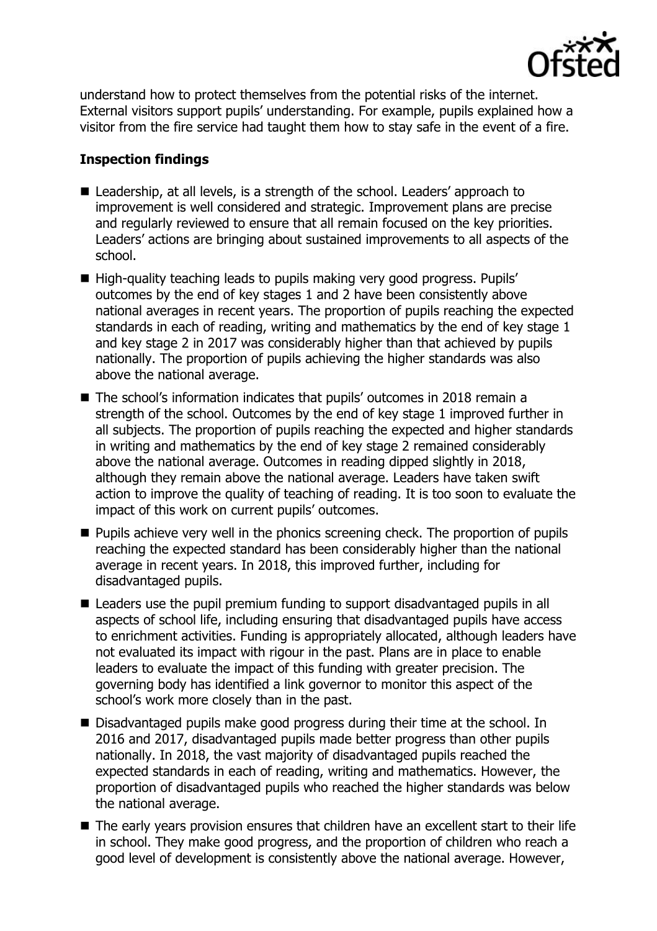

understand how to protect themselves from the potential risks of the internet. External visitors support pupils' understanding. For example, pupils explained how a visitor from the fire service had taught them how to stay safe in the event of a fire.

### **Inspection findings**

- Leadership, at all levels, is a strength of the school. Leaders' approach to improvement is well considered and strategic. Improvement plans are precise and regularly reviewed to ensure that all remain focused on the key priorities. Leaders' actions are bringing about sustained improvements to all aspects of the school.
- High-quality teaching leads to pupils making very good progress. Pupils' outcomes by the end of key stages 1 and 2 have been consistently above national averages in recent years. The proportion of pupils reaching the expected standards in each of reading, writing and mathematics by the end of key stage 1 and key stage 2 in 2017 was considerably higher than that achieved by pupils nationally. The proportion of pupils achieving the higher standards was also above the national average.
- The school's information indicates that pupils' outcomes in 2018 remain a strength of the school. Outcomes by the end of key stage 1 improved further in all subjects. The proportion of pupils reaching the expected and higher standards in writing and mathematics by the end of key stage 2 remained considerably above the national average. Outcomes in reading dipped slightly in 2018, although they remain above the national average. Leaders have taken swift action to improve the quality of teaching of reading. It is too soon to evaluate the impact of this work on current pupils' outcomes.
- **Pupils achieve very well in the phonics screening check. The proportion of pupils** reaching the expected standard has been considerably higher than the national average in recent years. In 2018, this improved further, including for disadvantaged pupils.
- Leaders use the pupil premium funding to support disadvantaged pupils in all aspects of school life, including ensuring that disadvantaged pupils have access to enrichment activities. Funding is appropriately allocated, although leaders have not evaluated its impact with rigour in the past. Plans are in place to enable leaders to evaluate the impact of this funding with greater precision. The governing body has identified a link governor to monitor this aspect of the school's work more closely than in the past.
- Disadvantaged pupils make good progress during their time at the school. In 2016 and 2017, disadvantaged pupils made better progress than other pupils nationally. In 2018, the vast majority of disadvantaged pupils reached the expected standards in each of reading, writing and mathematics. However, the proportion of disadvantaged pupils who reached the higher standards was below the national average.
- The early years provision ensures that children have an excellent start to their life in school. They make good progress, and the proportion of children who reach a good level of development is consistently above the national average. However,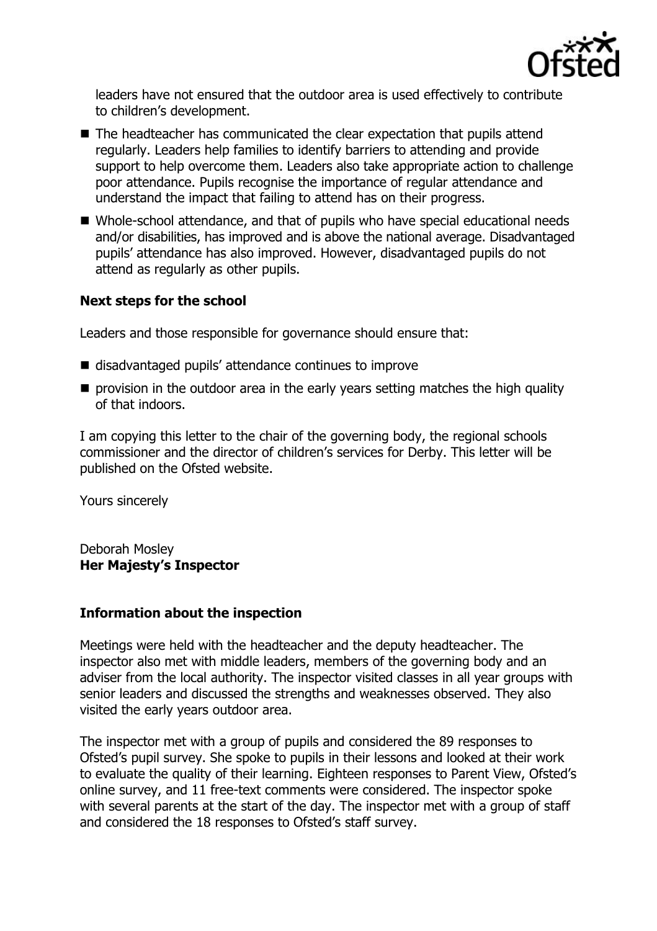

leaders have not ensured that the outdoor area is used effectively to contribute to children's development.

- The headteacher has communicated the clear expectation that pupils attend regularly. Leaders help families to identify barriers to attending and provide support to help overcome them. Leaders also take appropriate action to challenge poor attendance. Pupils recognise the importance of regular attendance and understand the impact that failing to attend has on their progress.
- Whole-school attendance, and that of pupils who have special educational needs and/or disabilities, has improved and is above the national average. Disadvantaged pupils' attendance has also improved. However, disadvantaged pupils do not attend as regularly as other pupils.

# **Next steps for the school**

Leaders and those responsible for governance should ensure that:

- disadvantaged pupils' attendance continues to improve
- $\blacksquare$  provision in the outdoor area in the early years setting matches the high quality of that indoors.

I am copying this letter to the chair of the governing body, the regional schools commissioner and the director of children's services for Derby. This letter will be published on the Ofsted website.

Yours sincerely

Deborah Mosley **Her Majesty's Inspector**

### **Information about the inspection**

Meetings were held with the headteacher and the deputy headteacher. The inspector also met with middle leaders, members of the governing body and an adviser from the local authority. The inspector visited classes in all year groups with senior leaders and discussed the strengths and weaknesses observed. They also visited the early years outdoor area.

The inspector met with a group of pupils and considered the 89 responses to Ofsted's pupil survey. She spoke to pupils in their lessons and looked at their work to evaluate the quality of their learning. Eighteen responses to Parent View, Ofsted's online survey, and 11 free-text comments were considered. The inspector spoke with several parents at the start of the day. The inspector met with a group of staff and considered the 18 responses to Ofsted's staff survey.